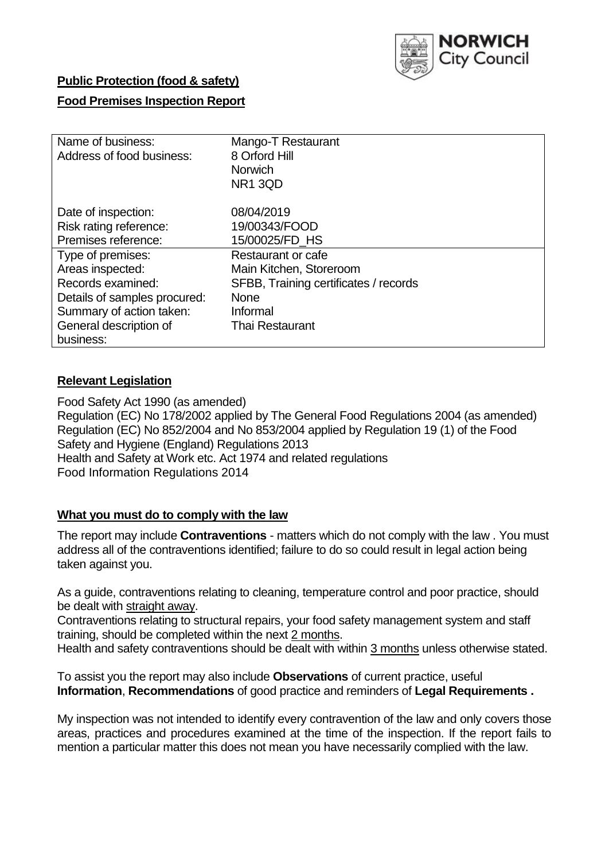

## **Public Protection (food & safety)**

### **Food Premises Inspection Report**

| Name of business:            | Mango-T Restaurant                    |
|------------------------------|---------------------------------------|
| Address of food business:    | 8 Orford Hill                         |
|                              | <b>Norwich</b>                        |
|                              | NR1 3QD                               |
| Date of inspection:          | 08/04/2019                            |
| Risk rating reference:       | 19/00343/FOOD                         |
| Premises reference:          | 15/00025/FD HS                        |
| Type of premises:            | Restaurant or cafe                    |
| Areas inspected:             | Main Kitchen, Storeroom               |
| Records examined:            | SFBB, Training certificates / records |
| Details of samples procured: | <b>None</b>                           |
| Summary of action taken:     | Informal                              |
| General description of       | <b>Thai Restaurant</b>                |
| business:                    |                                       |

## **Relevant Legislation**

Food Safety Act 1990 (as amended) Regulation (EC) No 178/2002 applied by The General Food Regulations 2004 (as amended) Regulation (EC) No 852/2004 and No 853/2004 applied by Regulation 19 (1) of the Food Safety and Hygiene (England) Regulations 2013 Health and Safety at Work etc. Act 1974 and related regulations Food Information Regulations 2014

### **What you must do to comply with the law**

The report may include **Contraventions** - matters which do not comply with the law . You must address all of the contraventions identified; failure to do so could result in legal action being taken against you.

As a guide, contraventions relating to cleaning, temperature control and poor practice, should be dealt with straight away.

Contraventions relating to structural repairs, your food safety management system and staff training, should be completed within the next 2 months.

Health and safety contraventions should be dealt with within 3 months unless otherwise stated.

To assist you the report may also include **Observations** of current practice, useful **Information**, **Recommendations** of good practice and reminders of **Legal Requirements .**

My inspection was not intended to identify every contravention of the law and only covers those areas, practices and procedures examined at the time of the inspection. If the report fails to mention a particular matter this does not mean you have necessarily complied with the law.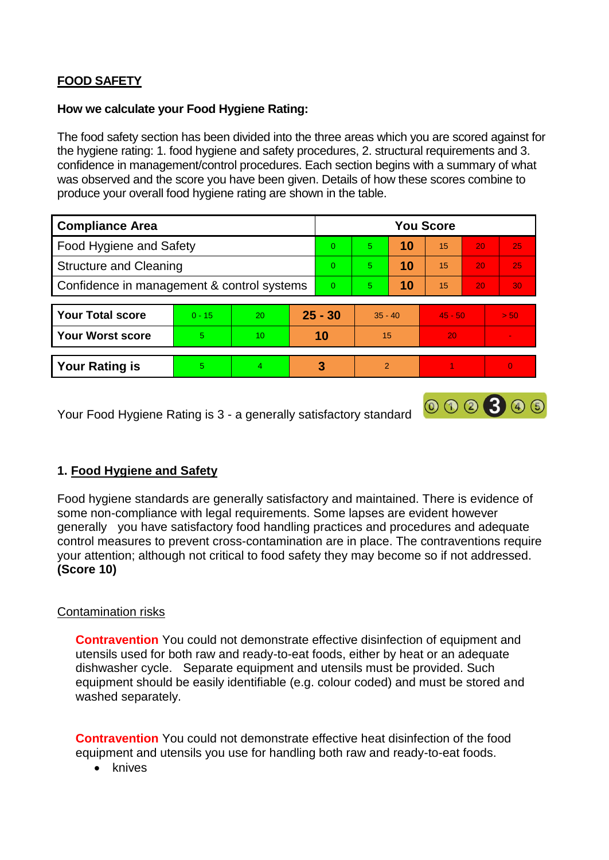# **FOOD SAFETY**

#### **How we calculate your Food Hygiene Rating:**

The food safety section has been divided into the three areas which you are scored against for the hygiene rating: 1. food hygiene and safety procedures, 2. structural requirements and 3. confidence in management/control procedures. Each section begins with a summary of what was observed and the score you have been given. Details of how these scores combine to produce your overall food hygiene rating are shown in the table.

| <b>Compliance Area</b>                     |          |                  |           | <b>You Score</b> |                          |    |           |                 |      |  |  |
|--------------------------------------------|----------|------------------|-----------|------------------|--------------------------|----|-----------|-----------------|------|--|--|
| Food Hygiene and Safety                    |          |                  |           | $\Omega$         | 5                        | 10 | 15        | 20              | 25   |  |  |
| <b>Structure and Cleaning</b>              |          |                  |           | $\Omega$         | $\overline{5}$           | 10 | 15        | 20              | 25   |  |  |
| Confidence in management & control systems |          |                  | $\Omega$  | 5                | 10                       | 15 | 20        | 30 <sub>1</sub> |      |  |  |
|                                            |          |                  |           |                  |                          |    |           |                 |      |  |  |
| <b>Your Total score</b>                    | $0 - 15$ | 20               | $25 - 30$ |                  | $35 - 40$                |    | $45 - 50$ |                 | > 50 |  |  |
| <b>Your Worst score</b>                    | 5        | 10 <sup>10</sup> | 10        |                  | 15                       |    | 20        |                 |      |  |  |
|                                            |          |                  |           |                  |                          |    |           |                 |      |  |  |
| <b>Your Rating is</b>                      | 5.       | $\overline{4}$   | 3         |                  | $\overline{\mathcal{L}}$ |    |           |                 | 0    |  |  |

Your Food Hygiene Rating is 3 - a generally satisfactory standard

## **1. Food Hygiene and Safety**

Food hygiene standards are generally satisfactory and maintained. There is evidence of some non-compliance with legal requirements. Some lapses are evident however generally you have satisfactory food handling practices and procedures and adequate control measures to prevent cross-contamination are in place. The contraventions require your attention; although not critical to food safety they may become so if not addressed. **(Score 10)**

000300

### Contamination risks

**Contravention** You could not demonstrate effective disinfection of equipment and utensils used for both raw and ready-to-eat foods, either by heat or an adequate dishwasher cycle. Separate equipment and utensils must be provided. Such equipment should be easily identifiable (e.g. colour coded) and must be stored and washed separately.

**Contravention** You could not demonstrate effective heat disinfection of the food equipment and utensils you use for handling both raw and ready-to-eat foods.

• knives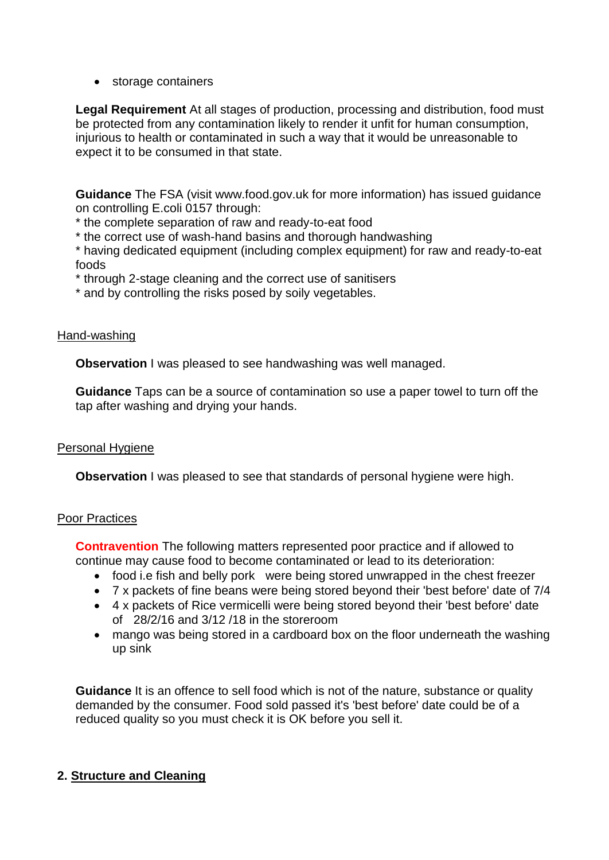• storage containers

**Legal Requirement** At all stages of production, processing and distribution, food must be protected from any contamination likely to render it unfit for human consumption, injurious to health or contaminated in such a way that it would be unreasonable to expect it to be consumed in that state.

**Guidance** The FSA (visit www.food.gov.uk for more information) has issued guidance on controlling E.coli 0157 through:

\* the complete separation of raw and ready-to-eat food

\* the correct use of wash-hand basins and thorough handwashing

\* having dedicated equipment (including complex equipment) for raw and ready-to-eat foods

\* through 2-stage cleaning and the correct use of sanitisers

\* and by controlling the risks posed by soily vegetables.

### Hand-washing

**Observation I** was pleased to see handwashing was well managed.

**Guidance** Taps can be a source of contamination so use a paper towel to turn off the tap after washing and drying your hands.

### Personal Hygiene

**Observation** I was pleased to see that standards of personal hygiene were high.

### Poor Practices

**Contravention** The following matters represented poor practice and if allowed to continue may cause food to become contaminated or lead to its deterioration:

- food i.e fish and belly pork were being stored unwrapped in the chest freezer
- 7 x packets of fine beans were being stored beyond their 'best before' date of 7/4
- 4 x packets of Rice vermicelli were being stored beyond their 'best before' date of 28/2/16 and 3/12 /18 in the storeroom
- mango was being stored in a cardboard box on the floor underneath the washing up sink

**Guidance** It is an offence to sell food which is not of the nature, substance or quality demanded by the consumer. Food sold passed it's 'best before' date could be of a reduced quality so you must check it is OK before you sell it.

## **2. Structure and Cleaning**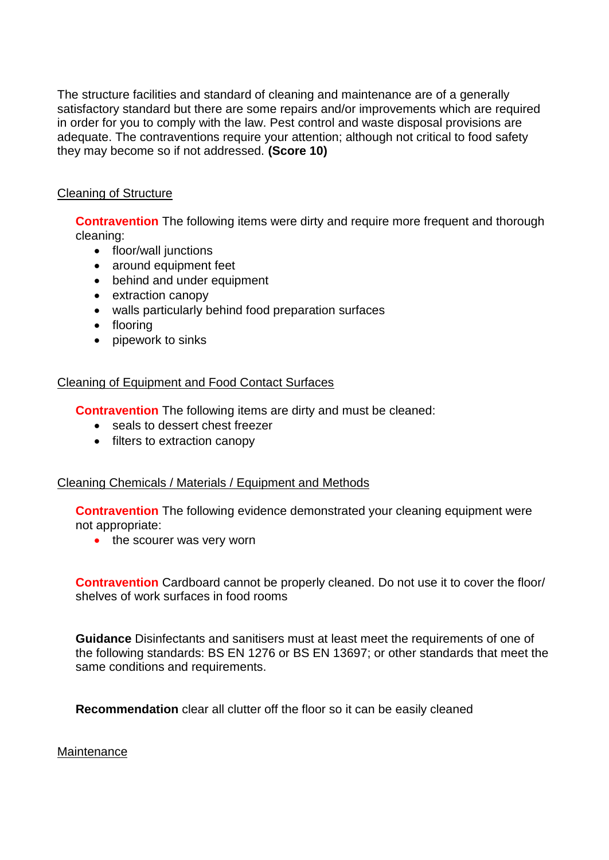The structure facilities and standard of cleaning and maintenance are of a generally satisfactory standard but there are some repairs and/or improvements which are required in order for you to comply with the law. Pest control and waste disposal provisions are adequate. The contraventions require your attention; although not critical to food safety they may become so if not addressed. **(Score 10)**

### Cleaning of Structure

**Contravention** The following items were dirty and require more frequent and thorough cleaning:

- floor/wall junctions
- around equipment feet
- behind and under equipment
- extraction canopy
- walls particularly behind food preparation surfaces
- flooring
- pipework to sinks

#### Cleaning of Equipment and Food Contact Surfaces

**Contravention** The following items are dirty and must be cleaned:

- seals to dessert chest freezer
- filters to extraction canopy

### Cleaning Chemicals / Materials / Equipment and Methods

**Contravention** The following evidence demonstrated your cleaning equipment were not appropriate:

• the scourer was very worn

**Contravention** Cardboard cannot be properly cleaned. Do not use it to cover the floor/ shelves of work surfaces in food rooms

**Guidance** Disinfectants and sanitisers must at least meet the requirements of one of the following standards: BS EN 1276 or BS EN 13697; or other standards that meet the same conditions and requirements.

**Recommendation** clear all clutter off the floor so it can be easily cleaned

**Maintenance**